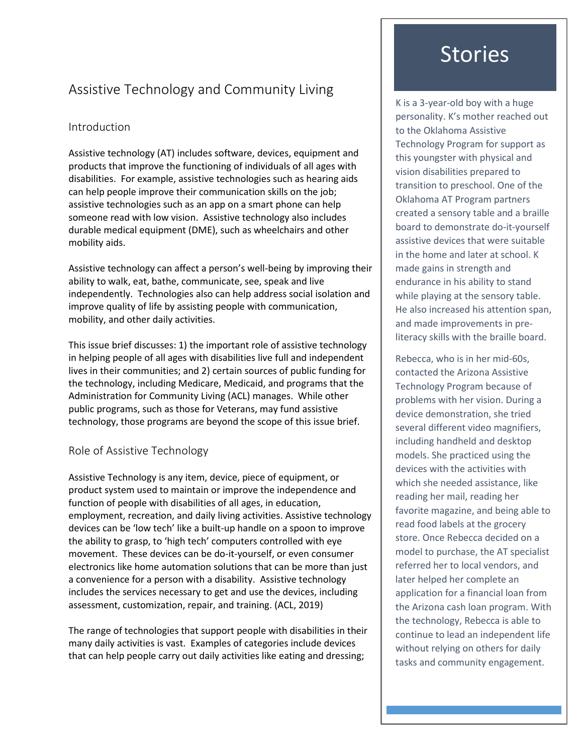## Assistive Technology and Community Living

#### Introduction

Assistive technology (AT) includes software, devices, equipment and products that improve the functioning of individuals of all ages with disabilities. For example, assistive technologies such as hearing aids can help people improve their communication skills on the job; assistive technologies such as an app on a smart phone can help someone read with low vision. Assistive technology also includes durable medical equipment (DME), such as wheelchairs and other mobility aids.

Assistive technology can affect a person's well-being by improving their ability to walk, eat, bathe, communicate, see, speak and live independently. Technologies also can help address social isolation and improve quality of life by assisting people with communication, mobility, and other daily activities.

This issue brief discusses: 1) the important role of assistive technology in helping people of all ages with disabilities live full and independent lives in their communities; and 2) certain sources of public funding for the technology, including Medicare, Medicaid, and programs that the Administration for Community Living (ACL) manages. While other public programs, such as those for Veterans, may fund assistive technology, those programs are beyond the scope of this issue brief.

#### Role of Assistive Technology

Assistive Technology is any item, device, piece of equipment, or product system used to maintain or improve the independence and function of people with disabilities of all ages, in education, employment, recreation, and daily living activities. Assistive technology devices can be 'low tech' like a built-up handle on a spoon to improve the ability to grasp, to 'high tech' computers controlled with eye movement. These devices can be do-it-yourself, or even consumer electronics like home automation solutions that can be more than just a convenience for a person with a disability. Assistive technology includes the services necessary to get and use the devices, including assessment, customization, repair, and training. (ACL, 2019)

The range of technologies that support people with disabilities in their many daily activities is vast. Examples of categories include devices that can help people carry out daily activities like eating and dressing;

# Stories

K is a 3-year-old boy with a huge personality. K's mother reached out to the Oklahoma Assistive Technology Program for support as this youngster with physical and vision disabilities prepared to transition to preschool. One of the Oklahoma AT Program partners created a sensory table and a braille board to demonstrate do-it-yourself assistive devices that were suitable in the home and later at school. K made gains in strength and endurance in his ability to stand while playing at the sensory table. He also increased his attention span, and made improvements in preliteracy skills with the braille board.

Rebecca, who is in her mid-60s, contacted the Arizona Assistive Technology Program because of problems with her vision. During a device demonstration, she tried several different video magnifiers, including handheld and desktop models. She practiced using the devices with the activities with which she needed assistance, like reading her mail, reading her favorite magazine, and being able to read food labels at the grocery store. Once Rebecca decided on a model to purchase, the AT specialist referred her to local vendors, and later helped her complete an application for a financial loan from the Arizona cash loan program. With the technology, Rebecca is able to continue to lead an independent life without relying on others for daily tasks and community engagement.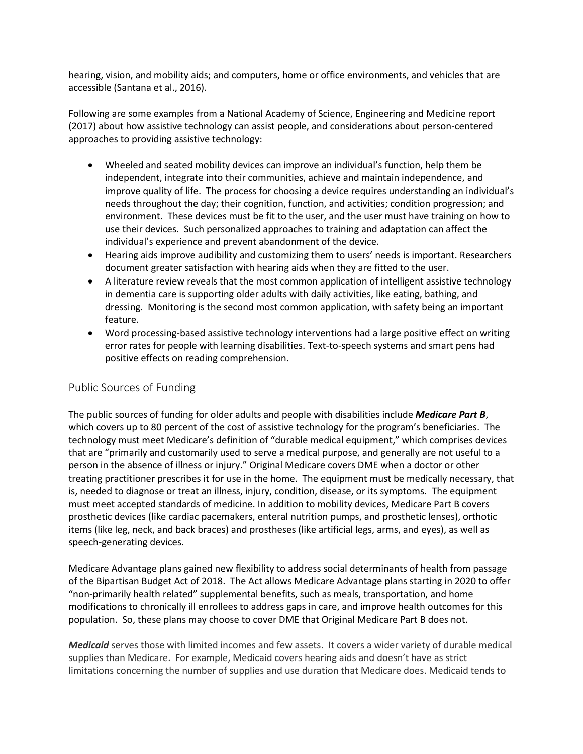hearing, vision, and mobility aids; and computers, home or office environments, and vehicles that are accessible (Santana et al., 2016).

Following are some examples from a National Academy of Science, Engineering and Medicine report (2017) about how assistive technology can assist people, and considerations about person-centered approaches to providing assistive technology:

- Wheeled and seated mobility devices can improve an individual's function, help them be independent, integrate into their communities, achieve and maintain independence, and improve quality of life. The process for choosing a device requires understanding an individual's needs throughout the day; their cognition, function, and activities; condition progression; and environment. These devices must be fit to the user, and the user must have training on how to use their devices. Such personalized approaches to training and adaptation can affect the individual's experience and prevent abandonment of the device.
- Hearing aids improve audibility and customizing them to users' needs is important. Researchers document greater satisfaction with hearing aids when they are fitted to the user.
- A literature review reveals that the most common application of intelligent assistive technology in dementia care is supporting older adults with daily activities, like eating, bathing, and dressing. Monitoring is the second most common application, with safety being an important feature.
- Word processing-based assistive technology interventions had a large positive effect on writing error rates for people with learning disabilities. Text-to-speech systems and smart pens had positive effects on reading comprehension.

#### Public Sources of Funding

The public sources of funding for older adults and people with disabilities include *Medicare Part B*, which covers up to 80 percent of the cost of assistive technology for the program's beneficiaries. The technology must meet Medicare's definition of "durable medical equipment," which comprises devices that are "primarily and customarily used to serve a medical purpose, and generally are not useful to a person in the absence of illness or injury." Original Medicare covers DME when a doctor or other treating practitioner prescribes it for use in the home. The equipment must be medically necessary, that is, needed to diagnose or treat an illness, injury, condition, disease, or its symptoms. The equipment must meet accepted standards of medicine. In addition to mobility devices, Medicare Part B covers prosthetic devices (like cardiac pacemakers, enteral nutrition pumps, and prosthetic lenses), orthotic items (like leg, neck, and back braces) and prostheses (like artificial legs, arms, and eyes), as well as speech-generating devices.

Medicare Advantage plans gained new flexibility to address social determinants of health from passage of the Bipartisan Budget Act of 2018. The Act allows Medicare Advantage plans starting in 2020 to offer "non-primarily health related" supplemental benefits, such as meals, transportation, and home modifications to chronically ill enrollees to address gaps in care, and improve health outcomes for this population. So, these plans may choose to cover DME that Original Medicare Part B does not.

*Medicaid* serves those with limited incomes and few assets. It covers a wider variety of durable medical supplies than Medicare. For example, Medicaid covers hearing aids and doesn't have as strict limitations concerning the number of supplies and use duration that Medicare does. Medicaid tends to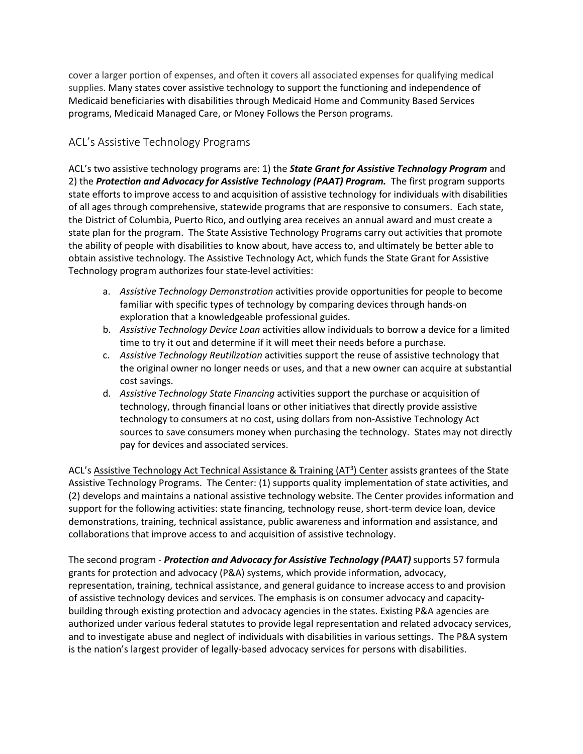cover a larger portion of expenses, and often it covers all associated expenses for qualifying medical supplies. Many states cover assistive technology to support the functioning and independence of Medicaid beneficiaries with disabilities through Medicaid Home and Community Based Services programs, Medicaid Managed Care, or Money Follows the Person programs.

### ACL's Assistive Technology Programs

ACL's two assistive technology programs are: 1) the *State Grant for Assistive Technology Program* and 2) the *Protection and Advocacy for Assistive Technology (PAAT) Program.* The first program supports state efforts to improve access to and acquisition of assistive technology for individuals with disabilities of all ages through comprehensive, statewide programs that are responsive to consumers. Each state, the District of Columbia, Puerto Rico, and outlying area receives an annual award and must create a state plan for the program. The State Assistive Technology Programs carry out activities that promote the ability of people with disabilities to know about, have access to, and ultimately be better able to obtain assistive technology. The Assistive Technology Act, which funds the State Grant for Assistive Technology program authorizes four state-level activities:

- a. *Assistive Technology Demonstration* activities provide opportunities for people to become familiar with specific types of technology by comparing devices through hands-on exploration that a knowledgeable professional guides.
- b. *Assistive Technology Device Loan* activities allow individuals to borrow a device for a limited time to try it out and determine if it will meet their needs before a purchase.
- c. *Assistive Technology Reutilization* activities support the reuse of assistive technology that the original owner no longer needs or uses, and that a new owner can acquire at substantial cost savings.
- d. *Assistive Technology State Financing* activities support the purchase or acquisition of technology, through financial loans or other initiatives that directly provide assistive technology to consumers at no cost, using dollars from non-Assistive Technology Act sources to save consumers money when purchasing the technology. States may not directly pay for devices and associated services.

ACL's Assistive Technology Act Technical Assistance & Training (AT<sup>3</sup>) Center assists grantees of the State Assistive Technology Programs. The Center: (1) supports quality implementation of state activities, and (2) develops and maintains a national assistive technology website. The Center provides information and support for the following activities: state financing, technology reuse, short-term device loan, device demonstrations, training, technical assistance, public awareness and information and assistance, and collaborations that improve access to and acquisition of assistive technology.

The second program - *Protection and Advocacy for Assistive Technology (PAAT)* supports 57 formula grants for protection and advocacy (P&A) systems, which provide information, advocacy, representation, training, technical assistance, and general guidance to increase access to and provision of assistive technology devices and services. The emphasis is on consumer advocacy and capacitybuilding through existing protection and advocacy agencies in the states. Existing P&A agencies are authorized under various federal statutes to provide legal representation and related advocacy services, and to investigate abuse and neglect of individuals with disabilities in various settings. The P&A system is the nation's largest provider of legally-based advocacy services for persons with disabilities.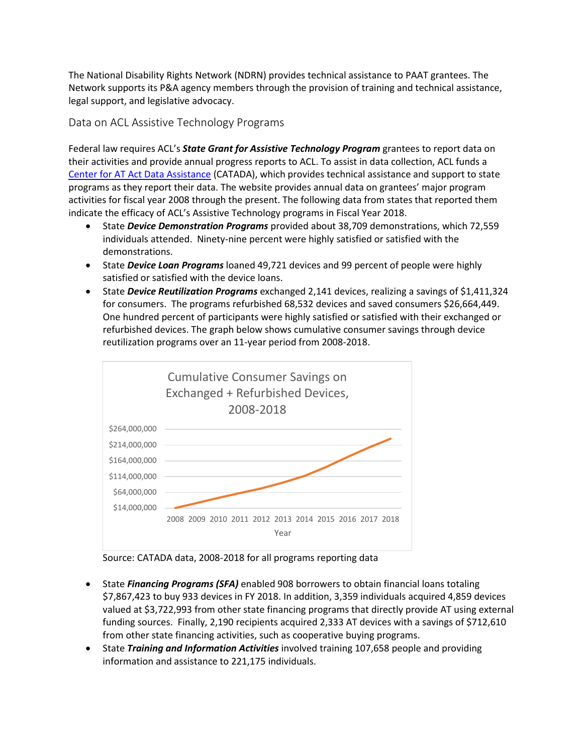The National Disability Rights Network (NDRN) provides technical assistance to PAAT grantees. The Network supports its P&A agency members through the provision of training and technical assistance, legal support, and legislative advocacy.

Data on ACL Assistive Technology Programs

Federal law requires ACL's *State Grant for Assistive Technology Program* grantees to report data on their activities and provide annual progress reports to ACL. To assist in data collection, ACL funds a [Center for AT Act Data Assistance](https://catada.info/) (CATADA), which provides technical assistance and support to state programs as they report their data. The website provides annual data on grantees' major program activities for fiscal year 2008 through the present. The following data from states that reported them indicate the efficacy of ACL's Assistive Technology programs in Fiscal Year 2018.

- State *Device Demonstration Programs* provided about 38,709 demonstrations, which 72,559 individuals attended. Ninety-nine percent were highly satisfied or satisfied with the demonstrations.
- State *Device Loan Programs* loaned 49,721 devices and 99 percent of people were highly satisfied or satisfied with the device loans.
- State *Device Reutilization Programs* exchanged 2,141 devices, realizing a savings of \$1,411,324 for consumers. The programs refurbished 68,532 devices and saved consumers \$26,664,449. One hundred percent of participants were highly satisfied or satisfied with their exchanged or refurbished devices. The graph below shows cumulative consumer savings through device reutilization programs over an 11-year period from 2008-2018.



Source: CATADA data, 2008-2018 for all programs reporting data

- State *Financing Programs (SFA)* enabled 908 borrowers to obtain financial loans totaling \$7,867,423 to buy 933 devices in FY 2018. In addition, 3,359 individuals acquired 4,859 devices valued at \$3,722,993 from other state financing programs that directly provide AT using external funding sources. Finally, 2,190 recipients acquired 2,333 AT devices with a savings of \$712,610 from other state financing activities, such as cooperative buying programs.
- State *Training and Information Activities* involved training 107,658 people and providing information and assistance to 221,175 individuals.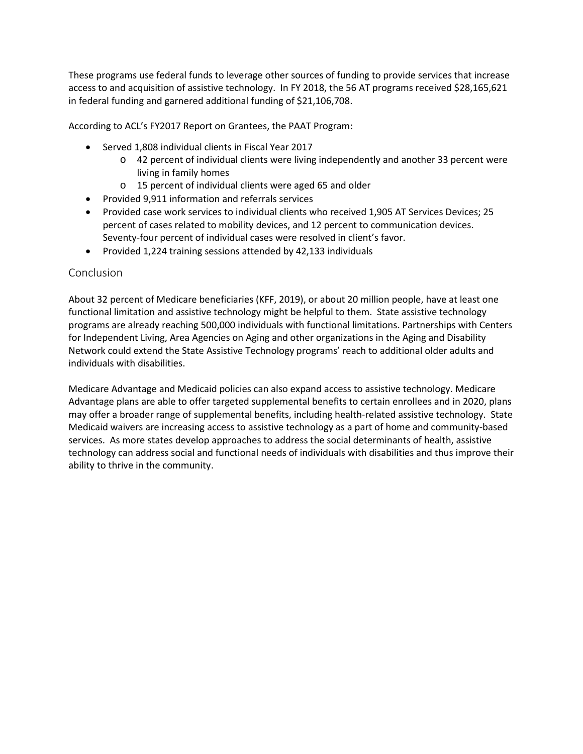These programs use federal funds to leverage other sources of funding to provide services that increase access to and acquisition of assistive technology. In FY 2018, the 56 AT programs received \$28,165,621 in federal funding and garnered additional funding of \$21,106,708.

According to ACL's FY2017 Report on Grantees, the PAAT Program:

- Served 1,808 individual clients in Fiscal Year 2017
	- o 42 percent of individual clients were living independently and another 33 percent were living in family homes
	- o 15 percent of individual clients were aged 65 and older
- Provided 9,911 information and referrals services
- Provided case work services to individual clients who received 1,905 AT Services Devices; 25 percent of cases related to mobility devices, and 12 percent to communication devices. Seventy-four percent of individual cases were resolved in client's favor.
- Provided 1,224 training sessions attended by 42,133 individuals

#### **Conclusion**

About 32 percent of Medicare beneficiaries (KFF, 2019), or about 20 million people, have at least one functional limitation and assistive technology might be helpful to them. State assistive technology programs are already reaching 500,000 individuals with functional limitations. Partnerships with Centers for Independent Living, Area Agencies on Aging and other organizations in the Aging and Disability Network could extend the State Assistive Technology programs' reach to additional older adults and individuals with disabilities.

Medicare Advantage and Medicaid policies can also expand access to assistive technology. Medicare Advantage plans are able to offer targeted supplemental benefits to certain enrollees and in 2020, plans may offer a broader range of supplemental benefits, including health-related assistive technology. State Medicaid waivers are increasing access to assistive technology as a part of home and community-based services. As more states develop approaches to address the social determinants of health, assistive technology can address social and functional needs of individuals with disabilities and thus improve their ability to thrive in the community.